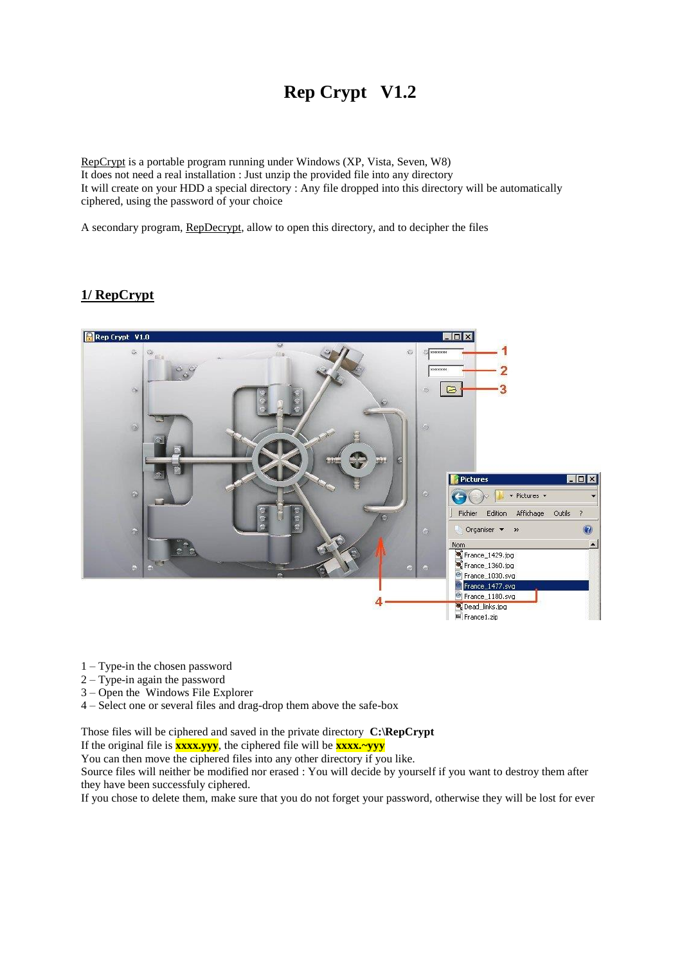# **Rep Crypt V1.2**

RepCrypt is a portable program running under Windows (XP, Vista, Seven, W8) It does not need a real installation : Just unzip the provided file into any directory It will create on your HDD a special directory : Any file dropped into this directory will be automatically ciphered, using the password of your choice

A secondary program, RepDecrypt, allow to open this directory, and to decipher the files

## **1/ RepCrypt**



- 1 Type-in the chosen password
- 2 Type-in again the password
- 3 Open the Windows File Explorer
- 4 Select one or several files and drag-drop them above the safe-box

Those files will be ciphered and saved in the private directory **C:\RepCrypt**

If the original file is **xxxx.yyy**, the ciphered file will be **xxxx.~yyy**

You can then move the ciphered files into any other directory if you like.

Source files will neither be modified nor erased : You will decide by yourself if you want to destroy them after they have been successfuly ciphered.

If you chose to delete them, make sure that you do not forget your password, otherwise they will be lost for ever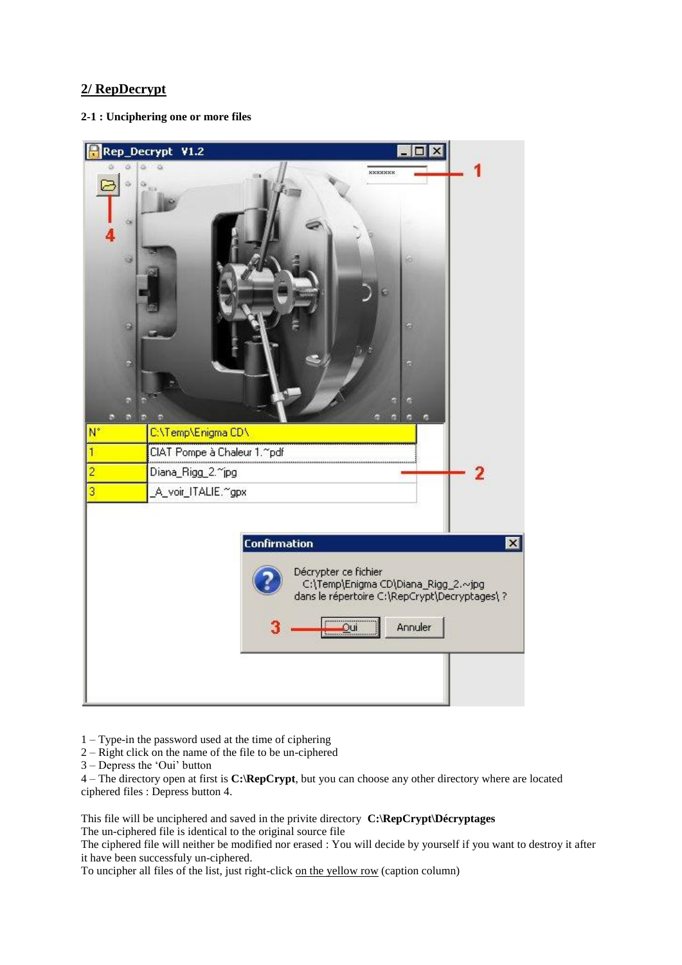## **2/ RepDecrypt**

**2-1 : Unciphering one or more files**



1 – Type-in the password used at the time of ciphering

2 – Right click on the name of the file to be un-ciphered

3 – Depress the 'Oui' button

4 – The directory open at first is **C:\RepCrypt**, but you can choose any other directory where are located ciphered files : Depress button 4.

This file will be unciphered and saved in the privite directory **C:\RepCrypt\Décryptages** The un-ciphered file is identical to the original source file

The ciphered file will neither be modified nor erased : You will decide by yourself if you want to destroy it after it have been successfuly un-ciphered.

To uncipher all files of the list, just right-click on the yellow row (caption column)